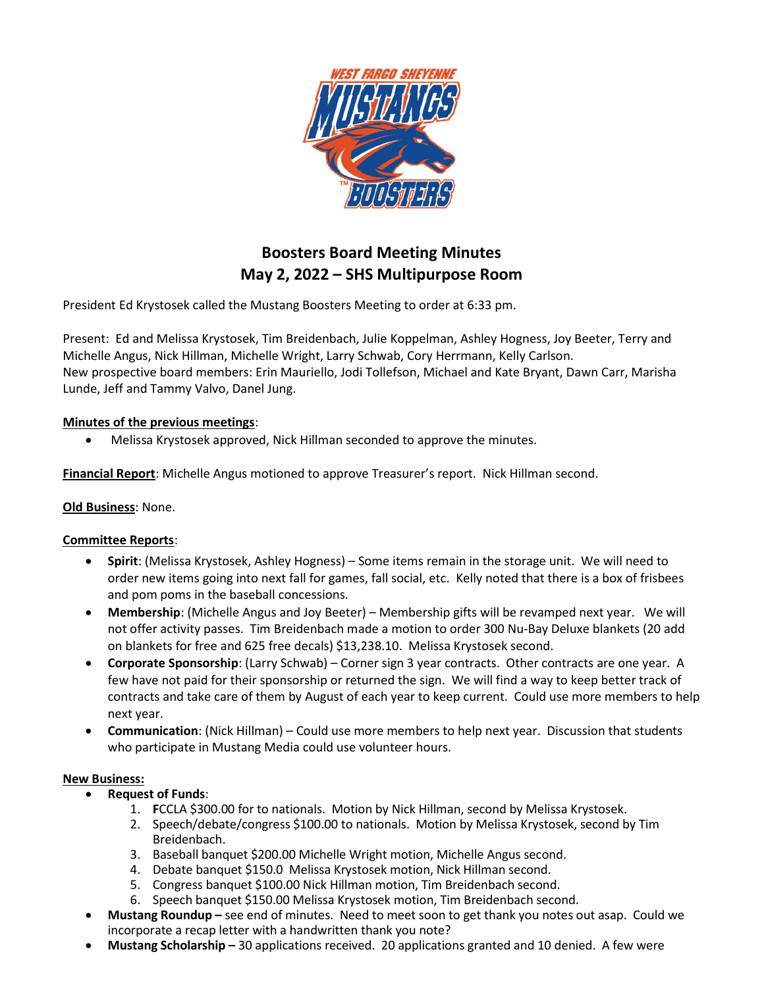

# Boosters Board Meeting Minutes May 2, 2022 – SHS Multipurpose Room

President Ed Krystosek called the Mustang Boosters Meeting to order at 6:33 pm.

Present: Ed and Melissa Krystosek, Tim Breidenbach, Julie Koppelman, Ashley Hogness, Joy Beeter, Terry and Michelle Angus, Nick Hillman, Michelle Wright, Larry Schwab, Cory Herrmann, Kelly Carlson. New prospective board members: Erin Mauriello, Jodi Tollefson, Michael and Kate Bryant, Dawn Carr, Marisha Lunde, Jeff and Tammy Valvo, Danel Jung.

## Minutes of the previous meetings:

Melissa Krystosek approved, Nick Hillman seconded to approve the minutes.

Financial Report: Michelle Angus motioned to approve Treasurer's report. Nick Hillman second.

## Old Business: None.

## Committee Reports:

- Spirit: (Melissa Krystosek, Ashley Hogness) Some items remain in the storage unit. We will need to order new items going into next fall for games, fall social, etc. Kelly noted that there is a box of frisbees and pom poms in the baseball concessions.
- Membership: (Michelle Angus and Joy Beeter) Membership gifts will be revamped next year. We will not offer activity passes. Tim Breidenbach made a motion to order 300 Nu-Bay Deluxe blankets (20 add on blankets for free and 625 free decals) \$13,238.10. Melissa Krystosek second.
- Corporate Sponsorship: (Larry Schwab) Corner sign 3 year contracts. Other contracts are one year. A few have not paid for their sponsorship or returned the sign. We will find a way to keep better track of contracts and take care of them by August of each year to keep current. Could use more members to help next year.
- Communication: (Nick Hillman) Could use more members to help next year. Discussion that students who participate in Mustang Media could use volunteer hours.

### New Business:

- Request of Funds:
	- 1. FCCLA \$300.00 for to nationals. Motion by Nick Hillman, second by Melissa Krystosek.
	- 2. Speech/debate/congress \$100.00 to nationals. Motion by Melissa Krystosek, second by Tim Breidenbach.
	- 3. Baseball banquet \$200.00 Michelle Wright motion, Michelle Angus second.
	- 4. Debate banquet \$150.0 Melissa Krystosek motion, Nick Hillman second.
	- 5. Congress banquet \$100.00 Nick Hillman motion, Tim Breidenbach second.
	- 6. Speech banquet \$150.00 Melissa Krystosek motion, Tim Breidenbach second.
- Mustang Roundup see end of minutes. Need to meet soon to get thank you notes out asap. Could we incorporate a recap letter with a handwritten thank you note?
- Mustang Scholarship 30 applications received. 20 applications granted and 10 denied. A few were